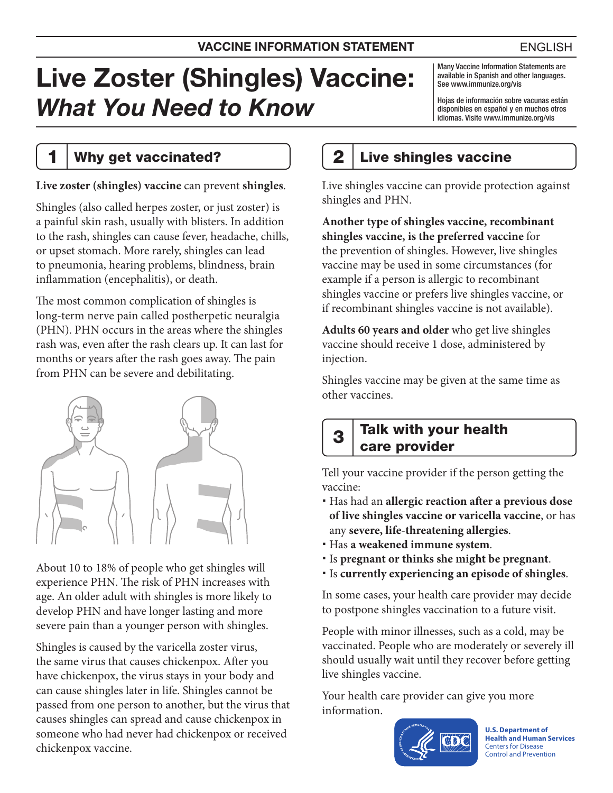# Live Zoster (Shingles) Vaccine: *What You Need to Know*

Hojas de información sobre vacunas están disponibles en español y en muchos otros idiomas. Visite [www.immunize.org/vis](http://www.immunize.org/vis)

### 1 | Why get vaccinated?

#### **Live zoster (shingles) vaccine** can prevent **shingles**.

Shingles (also called herpes zoster, or just zoster) is a painful skin rash, usually with blisters. In addition to the rash, shingles can cause fever, headache, chills, or upset stomach. More rarely, shingles can lead to pneumonia, hearing problems, blindness, brain inflammation (encephalitis), or death.

The most common complication of shingles is long-term nerve pain called postherpetic neuralgia (PHN). PHN occurs in the areas where the shingles rash was, even after the rash clears up. It can last for months or years after the rash goes away. The pain from PHN can be severe and debilitating.



About 10 to 18% of people who get shingles will experience PHN. The risk of PHN increases with age. An older adult with shingles is more likely to develop PHN and have longer lasting and more severe pain than a younger person with shingles.

Shingles is caused by the varicella zoster virus, the same virus that causes chickenpox. After you have chickenpox, the virus stays in your body and can cause shingles later in life. Shingles cannot be passed from one person to another, but the virus that causes shingles can spread and cause chickenpox in someone who had never had chickenpox or received chickenpox vaccine.

## $2$  Live shingles vaccine

Live shingles vaccine can provide protection against shingles and PHN.

**Another type of shingles vaccine, recombinant shingles vaccine, is the preferred vaccine** for the prevention of shingles. However, live shingles vaccine may be used in some circumstances (for example if a person is allergic to recombinant shingles vaccine or prefers live shingles vaccine, or if recombinant shingles vaccine is not available).

**Adults 60 years and older** who get live shingles vaccine should receive 1 dose, administered by injection.

Shingles vaccine may be given at the same time as other vaccines.

## $3$  Talk with your health care provider

Tell your vaccine provider if the person getting the vaccine:

- Has had an **allergic reaction after a previous dose of live shingles vaccine or varicella vaccine**, or has any **severe, life-threatening allergies**.
- Has **a weakened immune system**.
- Is **pregnant or thinks she might be pregnant**.
- Is **currently experiencing an episode of shingles**.

In some cases, your health care provider may decide to postpone shingles vaccination to a future visit.

People with minor illnesses, such as a cold, may be vaccinated. People who are moderately or severely ill should usually wait until they recover before getting live shingles vaccine.

Your health care provider can give you more information.



**U.S. Department of Health and Human Services**  Centers for Disease Control and Prevention

#### ENGLISH